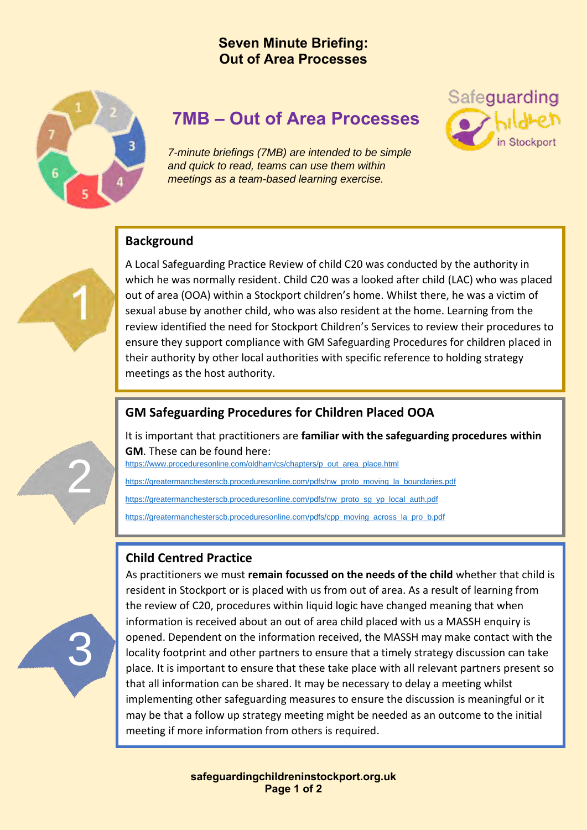## **Seven Minute Briefing: Out of Area Processes**



# **7MB – Out of Area Processes**

*7-minute briefings (7MB) are intended to be simple and quick to read, teams can use them within meetings as a team-based learning exercise.*

#### **Background**

A Local Safeguarding Practice Review of child C20 was conducted by the authority in which he was normally resident. Child C20 was a looked after child (LAC) who was placed out of area (OOA) within a Stockport children's home. Whilst there, he was a victim of sexual abuse by another child, who was also resident at the home. Learning from the review identified the need for Stockport Children's Services to review their procedures to ensure they support compliance with GM Safeguarding Procedures for children placed in their authority by other local authorities with specific reference to holding strategy meetings as the host authority.

Safeguarding

#### **GM Safeguarding Procedures for Children Placed OOA**

It is important that practitioners are **familiar with the safeguarding procedures within GM**. These can be found here:

[https://www.proceduresonline.com/oldham/cs/chapters/p\\_out\\_area\\_place.html](https://www.proceduresonline.com/oldham/cs/chapters/p_out_area_place.html)

[https://greatermanchesterscb.proceduresonline.com/pdfs/nw\\_proto\\_moving\\_la\\_boundaries.pdf](https://greatermanchesterscb.proceduresonline.com/pdfs/nw_proto_moving_la_boundaries.pdf)

[https://greatermanchesterscb.proceduresonline.com/pdfs/nw\\_proto\\_sg\\_yp\\_local\\_auth.pdf](https://greatermanchesterscb.proceduresonline.com/pdfs/nw_proto_sg_yp_local_auth.pdf)

[https://greatermanchesterscb.proceduresonline.com/pdfs/cpp\\_moving\\_across\\_la\\_pro\\_b.pdf](https://greatermanchesterscb.proceduresonline.com/pdfs/cpp_moving_across_la_pro_b.pdf)

## **Child Centred Practice**



2

As practitioners we must **remain focussed on the needs of the child** whether that child is resident in Stockport or is placed with us from out of area. As a result of learning from the review of C20, procedures within liquid logic have changed meaning that when information is received about an out of area child placed with us a MASSH enquiry is opened. Dependent on the information received, the MASSH may make contact with the locality footprint and other partners to ensure that a timely strategy discussion can take place. It is important to ensure that these take place with all relevant partners present so that all information can be shared. It may be necessary to delay a meeting whilst implementing other safeguarding measures to ensure the discussion is meaningful or it may be that a follow up strategy meeting might be needed as an outcome to the initial meeting if more information from others is required.